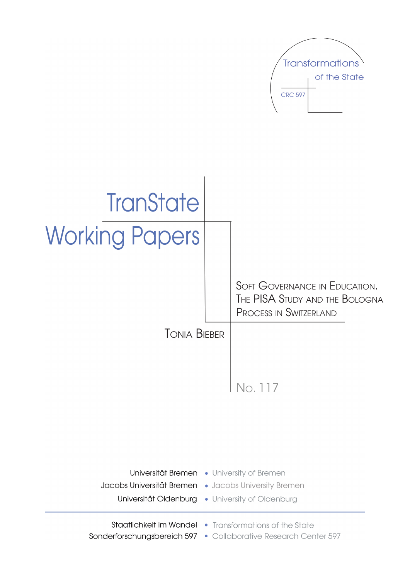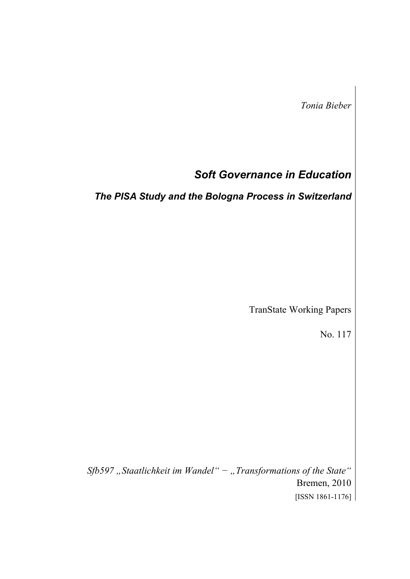*Tonia Bieber* 

# *Soft Governance in Education*

*The PISA Study and the Bologna Process in Switzerland* 

TranState Working Papers

No. 117

*Sfb597 "Staatlichkeit im Wandel" − "Transformations of the State"*  Bremen, 2010 [ISSN 1861-1176]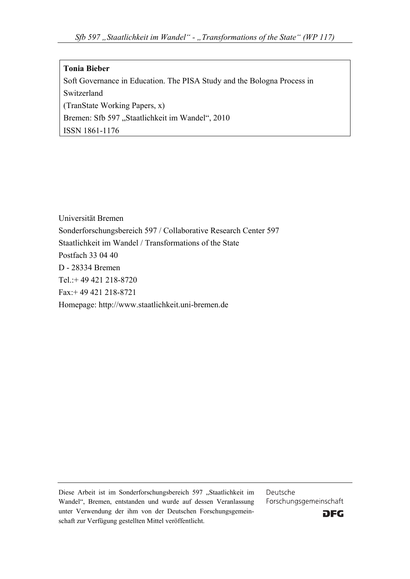#### **Tonia Bieber**

Soft Governance in Education. The PISA Study and the Bologna Process in Switzerland (TranState Working Papers, x) Bremen: Sfb 597 "Staatlichkeit im Wandel", 2010 ISSN 1861-1176

Universität Bremen Sonderforschungsbereich 597 / Collaborative Research Center 597 Staatlichkeit im Wandel / Transformations of the State Postfach 33 04 40 D - 28334 Bremen Tel : + 49 421 218-8720 Fax:+ 49 421 218-8721 Homepage: http://www.staatlichkeit.uni-bremen.de

Diese Arbeit ist im Sonderforschungsbereich 597 "Staatlichkeit im Wandel", Bremen, entstanden und wurde auf dessen Veranlassung unter Verwendung der ihm von der Deutschen Forschungsgemeinschaft zur Verfügung gestellten Mittel veröffentlicht.

Deutsche Forschungsgemeinschaft

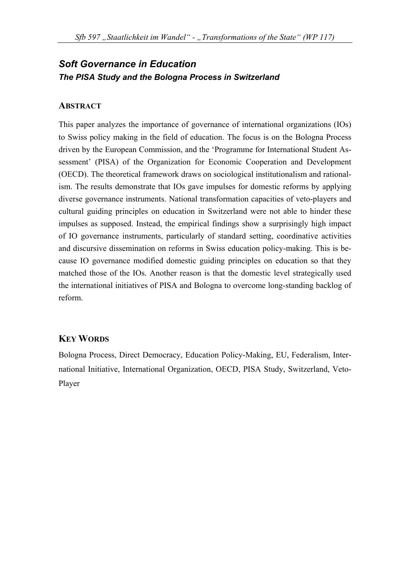# *Soft Governance in Education The PISA Study and the Bologna Process in Switzerland*

#### **ABSTRACT**

This paper analyzes the importance of governance of international organizations (IOs) to Swiss policy making in the field of education. The focus is on the Bologna Process driven by the European Commission, and the 'Programme for International Student Assessment' (PISA) of the Organization for Economic Cooperation and Development (OECD). The theoretical framework draws on sociological institutionalism and rationalism. The results demonstrate that IOs gave impulses for domestic reforms by applying diverse governance instruments. National transformation capacities of veto-players and cultural guiding principles on education in Switzerland were not able to hinder these impulses as supposed. Instead, the empirical findings show a surprisingly high impact of IO governance instruments, particularly of standard setting, coordinative activities and discursive dissemination on reforms in Swiss education policy-making. This is because IO governance modified domestic guiding principles on education so that they matched those of the IOs. Another reason is that the domestic level strategically used the international initiatives of PISA and Bologna to overcome long-standing backlog of reform.

#### **KEY WORDS**

Bologna Process, Direct Democracy, Education Policy-Making, EU, Federalism, International Initiative, International Organization, OECD, PISA Study, Switzerland, Veto-Player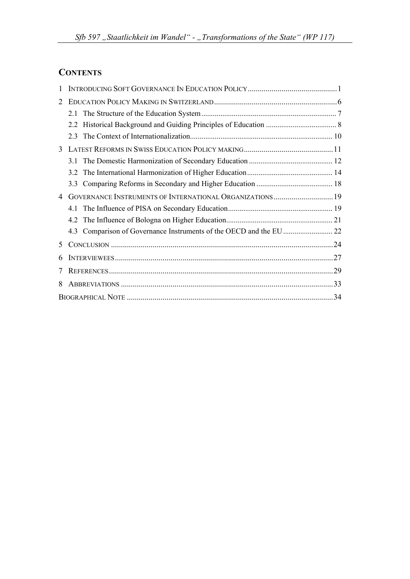# **CONTENTS**

| 1 |                                                          |  |
|---|----------------------------------------------------------|--|
| 2 |                                                          |  |
|   |                                                          |  |
|   | 22                                                       |  |
|   | 2.3                                                      |  |
| 3 |                                                          |  |
|   | 31                                                       |  |
|   | 32                                                       |  |
|   | 3.3                                                      |  |
| 4 | GOVERNANCE INSTRUMENTS OF INTERNATIONAL ORGANIZATIONS 19 |  |
|   | 41                                                       |  |
|   | 42                                                       |  |
|   |                                                          |  |
| 5 |                                                          |  |
| 6 |                                                          |  |
| 7 |                                                          |  |
| 8 |                                                          |  |
|   |                                                          |  |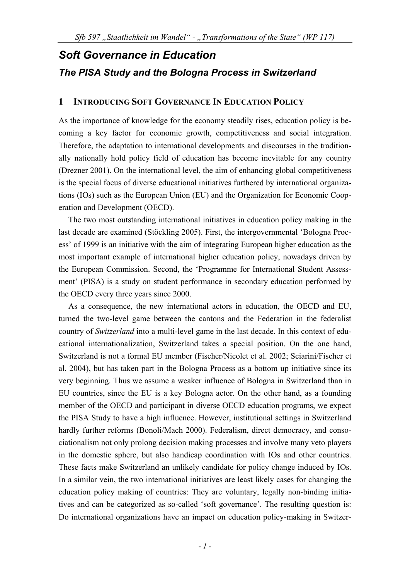# *Soft Governance in Education The PISA Study and the Bologna Process in Switzerland*

#### **1 INTRODUCING SOFT GOVERNANCE IN EDUCATION POLICY**

As the importance of knowledge for the economy steadily rises, education policy is becoming a key factor for economic growth, competitiveness and social integration. Therefore, the adaptation to international developments and discourses in the traditionally nationally hold policy field of education has become inevitable for any country (Drezner 2001). On the international level, the aim of enhancing global competitiveness is the special focus of diverse educational initiatives furthered by international organizations (IOs) such as the European Union (EU) and the Organization for Economic Cooperation and Development (OECD).

The two most outstanding international initiatives in education policy making in the last decade are examined (Stöckling 2005). First, the intergovernmental 'Bologna Process' of 1999 is an initiative with the aim of integrating European higher education as the most important example of international higher education policy, nowadays driven by the European Commission. Second, the 'Programme for International Student Assessment' (PISA) is a study on student performance in secondary education performed by the OECD every three years since 2000.

As a consequence, the new international actors in education, the OECD and EU, turned the two-level game between the cantons and the Federation in the federalist country of *Switzerland* into a multi-level game in the last decade. In this context of educational internationalization, Switzerland takes a special position. On the one hand, Switzerland is not a formal EU member (Fischer/Nicolet et al. 2002; Sciarini/Fischer et al. 2004), but has taken part in the Bologna Process as a bottom up initiative since its very beginning. Thus we assume a weaker influence of Bologna in Switzerland than in EU countries, since the EU is a key Bologna actor. On the other hand, as a founding member of the OECD and participant in diverse OECD education programs, we expect the PISA Study to have a high influence. However, institutional settings in Switzerland hardly further reforms (Bonoli/Mach 2000). Federalism, direct democracy, and consociationalism not only prolong decision making processes and involve many veto players in the domestic sphere, but also handicap coordination with IOs and other countries. These facts make Switzerland an unlikely candidate for policy change induced by IOs. In a similar vein, the two international initiatives are least likely cases for changing the education policy making of countries: They are voluntary, legally non-binding initiatives and can be categorized as so-called 'soft governance'. The resulting question is: Do international organizations have an impact on education policy-making in Switzer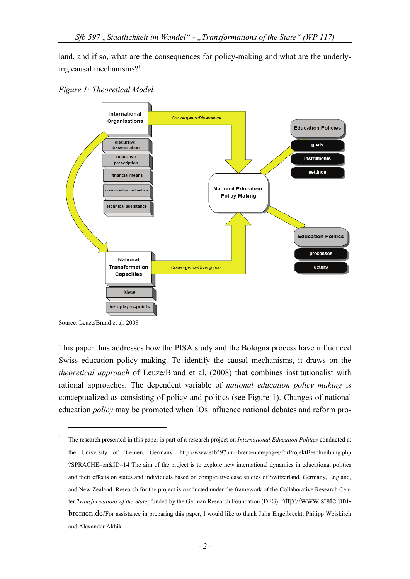land, and if so, what are the consequences for policy-making and what are the underlying causal mechanisms?<sup>1</sup>





Source: Leuze/Brand et al. 2008

1

This paper thus addresses how the PISA study and the Bologna process have influenced Swiss education policy making. To identify the causal mechanisms, it draws on the *theoretical approach* of Leuze/Brand et al. (2008) that combines institutionalist with rational approaches. The dependent variable of *national education policy making* is conceptualized as consisting of policy and politics (see Figure 1). Changes of national education *policy* may be promoted when IOs influence national debates and reform pro-

<sup>1</sup> The research presented in this paper is part of a research project on *International Education Politics* conducted at the University of Bremen, Germany. http://www.sfb597.uni-bremen.de/pages/forProjektBeschreibung.php ?SPRACHE=en&ID=14 The aim of the project is to explore new international dynamics in educational politics and their effects on states and individuals based on comparative case studies of Switzerland, Germany, England, and New Zealand. Research for the project is conducted under the framework of the Collaborative Research Center *Transformations of the State*, funded by the German Research Foundation (DFG). http://www.state.unibremen.de/For assistance in preparing this paper, I would like to thank Julia Engelbrecht, Philipp Weiskirch and Alexander Akbik.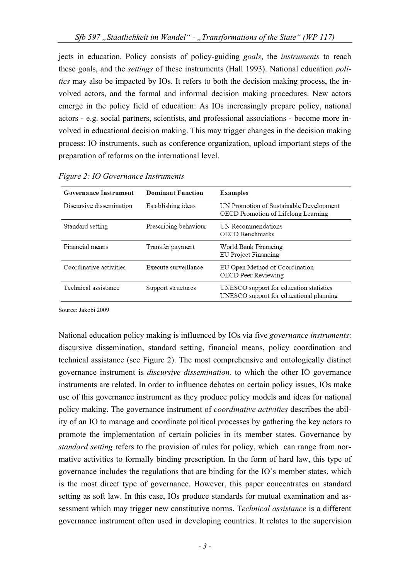jects in education. Policy consists of policy-guiding *goals*, the *instruments* to reach these goals, and the *settings* of these instruments (Hall 1993). National education *politics* may also be impacted by IOs. It refers to both the decision making process, the involved actors, and the formal and informal decision making procedures. New actors emerge in the policy field of education: As IOs increasingly prepare policy, national actors - e.g. social partners, scientists, and professional associations - become more involved in educational decision making. This may trigger changes in the decision making process: IO instruments, such as conference organization, upload important steps of the preparation of reforms on the international level.

| <b>Governance Instrument</b> | <b>Dominant Function</b> | <b>Examples</b>                                                                    |
|------------------------------|--------------------------|------------------------------------------------------------------------------------|
| Discursive dissemination     | Establishing ideas       | UN Promotion of Sustainable Development<br>OECD Promotion of Lifelong Learning     |
| Standard setting             | Prescribing behaviour    | UN Recommendations<br><b>OECD</b> Benchmarks                                       |
| Financial means              | Transfer payment         | World Bank Financing<br>EU Project Financing                                       |
| Coordinative activities      | Execute surveillance     | EU Open Method of Coordination<br><b>OECD Peer Reviewing</b>                       |
| Technical assistance         | Support structures       | UNESCO support for education statistics<br>UNESCO support for educational planning |

*Figure 2: IO Governance Instruments* 

Source: Jakobi 2009

National education policy making is influenced by IOs via five *governance instruments*: discursive dissemination, standard setting, financial means, policy coordination and technical assistance (see Figure 2). The most comprehensive and ontologically distinct governance instrument is *discursive dissemination,* to which the other IO governance instruments are related. In order to influence debates on certain policy issues, IOs make use of this governance instrument as they produce policy models and ideas for national policy making. The governance instrument of *coordinative activities* describes the ability of an IO to manage and coordinate political processes by gathering the key actors to promote the implementation of certain policies in its member states. Governance by *standard setting* refers to the provision of rules for policy, which can range from normative activities to formally binding prescription. In the form of hard law, this type of governance includes the regulations that are binding for the IO's member states, which is the most direct type of governance. However, this paper concentrates on standard setting as soft law. In this case, IOs produce standards for mutual examination and assessment which may trigger new constitutive norms. T*echnical assistance* is a different governance instrument often used in developing countries. It relates to the supervision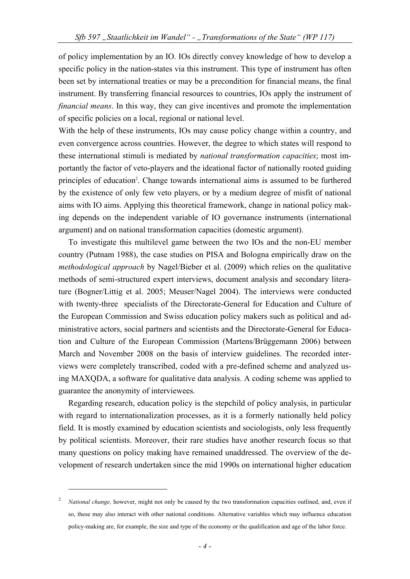of policy implementation by an IO. IOs directly convey knowledge of how to develop a specific policy in the nation-states via this instrument. This type of instrument has often been set by international treaties or may be a precondition for financial means, the final instrument. By transferring financial resources to countries, IOs apply the instrument of *financial means*. In this way, they can give incentives and promote the implementation of specific policies on a local, regional or national level.

With the help of these instruments, IOs may cause policy change within a country, and even convergence across countries. However, the degree to which states will respond to these international stimuli is mediated by *national transformation capacities*; most importantly the factor of veto-players and the ideational factor of nationally rooted guiding principles of education<sup>2</sup>. Change towards international aims is assumed to be furthered by the existence of only few veto players, or by a medium degree of misfit of national aims with IO aims. Applying this theoretical framework, change in national policy making depends on the independent variable of IO governance instruments (international argument) and on national transformation capacities (domestic argument).

To investigate this multilevel game between the two IOs and the non-EU member country (Putnam 1988), the case studies on PISA and Bologna empirically draw on the *methodological approach* by Nagel/Bieber et al. (2009) which relies on the qualitative methods of semi-structured expert interviews, document analysis and secondary literature (Bogner/Littig et al. 2005; Meuser/Nagel 2004). The interviews were conducted with twenty-three specialists of the Directorate-General for Education and Culture of the European Commission and Swiss education policy makers such as political and administrative actors, social partners and scientists and the Directorate-General for Education and Culture of the European Commission (Martens/Brüggemann 2006) between March and November 2008 on the basis of interview guidelines. The recorded interviews were completely transcribed, coded with a pre-defined scheme and analyzed using MAXQDA, a software for qualitative data analysis. A coding scheme was applied to guarantee the anonymity of interviewees.

Regarding research, education policy is the stepchild of policy analysis, in particular with regard to internationalization processes, as it is a formerly nationally held policy field. It is mostly examined by education scientists and sociologists, only less frequently by political scientists. Moreover, their rare studies have another research focus so that many questions on policy making have remained unaddressed. The overview of the development of research undertaken since the mid 1990s on international higher education

1

<sup>2</sup> *National change,* however, might not only be caused by the two transformation capacities outlined, and, even if so, these may also interact with other national conditions. Alternative variables which may influence education policy-making are, for example, the size and type of the economy or the qualification and age of the labor force.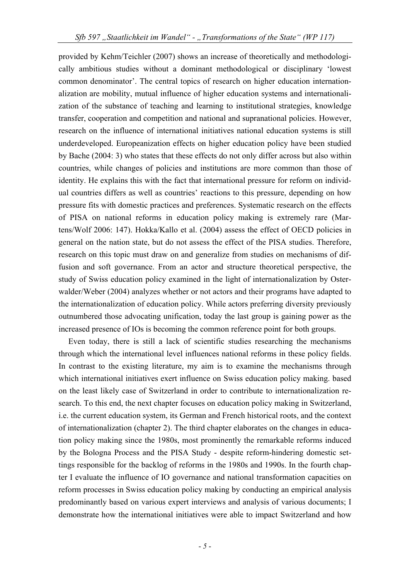provided by Kehm/Teichler (2007) shows an increase of theoretically and methodologically ambitious studies without a dominant methodological or disciplinary 'lowest common denominator'. The central topics of research on higher education internationalization are mobility, mutual influence of higher education systems and internationalization of the substance of teaching and learning to institutional strategies, knowledge transfer, cooperation and competition and national and supranational policies. However, research on the influence of international initiatives national education systems is still underdeveloped. Europeanization effects on higher education policy have been studied by Bache (2004: 3) who states that these effects do not only differ across but also within countries, while changes of policies and institutions are more common than those of identity. He explains this with the fact that international pressure for reform on individual countries differs as well as countries' reactions to this pressure, depending on how pressure fits with domestic practices and preferences. Systematic research on the effects of PISA on national reforms in education policy making is extremely rare (Martens/Wolf 2006: 147). Hokka/Kallo et al. (2004) assess the effect of OECD policies in general on the nation state, but do not assess the effect of the PISA studies. Therefore, research on this topic must draw on and generalize from studies on mechanisms of diffusion and soft governance. From an actor and structure theoretical perspective, the study of Swiss education policy examined in the light of internationalization by Osterwalder/Weber (2004) analyzes whether or not actors and their programs have adapted to the internationalization of education policy. While actors preferring diversity previously outnumbered those advocating unification, today the last group is gaining power as the increased presence of IOs is becoming the common reference point for both groups.

Even today, there is still a lack of scientific studies researching the mechanisms through which the international level influences national reforms in these policy fields. In contrast to the existing literature, my aim is to examine the mechanisms through which international initiatives exert influence on Swiss education policy making. based on the least likely case of Switzerland in order to contribute to internationalization research. To this end, the next chapter focuses on education policy making in Switzerland, i.e. the current education system, its German and French historical roots, and the context of internationalization (chapter 2). The third chapter elaborates on the changes in education policy making since the 1980s, most prominently the remarkable reforms induced by the Bologna Process and the PISA Study - despite reform-hindering domestic settings responsible for the backlog of reforms in the 1980s and 1990s. In the fourth chapter I evaluate the influence of IO governance and national transformation capacities on reform processes in Swiss education policy making by conducting an empirical analysis predominantly based on various expert interviews and analysis of various documents; I demonstrate how the international initiatives were able to impact Switzerland and how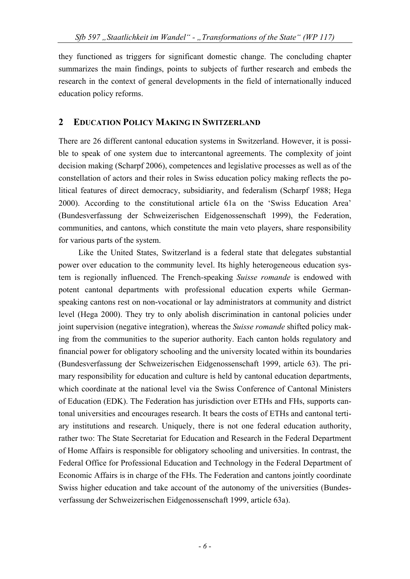they functioned as triggers for significant domestic change. The concluding chapter summarizes the main findings, points to subjects of further research and embeds the research in the context of general developments in the field of internationally induced education policy reforms.

### **2 EDUCATION POLICY MAKING IN SWITZERLAND**

There are 26 different cantonal education systems in Switzerland. However, it is possible to speak of one system due to intercantonal agreements. The complexity of joint decision making (Scharpf 2006), competences and legislative processes as well as of the constellation of actors and their roles in Swiss education policy making reflects the political features of direct democracy, subsidiarity, and federalism (Scharpf 1988; Hega 2000). According to the constitutional article 61a on the 'Swiss Education Area' (Bundesverfassung der Schweizerischen Eidgenossenschaft 1999), the Federation, communities, and cantons, which constitute the main veto players, share responsibility for various parts of the system.

Like the United States, Switzerland is a federal state that delegates substantial power over education to the community level. Its highly heterogeneous education system is regionally influenced. The French-speaking *Suisse romande* is endowed with potent cantonal departments with professional education experts while Germanspeaking cantons rest on non-vocational or lay administrators at community and district level (Hega 2000). They try to only abolish discrimination in cantonal policies under joint supervision (negative integration), whereas the *Suisse romande* shifted policy making from the communities to the superior authority. Each canton holds regulatory and financial power for obligatory schooling and the university located within its boundaries (Bundesverfassung der Schweizerischen Eidgenossenschaft 1999, article 63). The primary responsibility for education and culture is held by cantonal education departments, which coordinate at the national level via the Swiss Conference of Cantonal Ministers of Education (EDK). The Federation has jurisdiction over ETHs and FHs, supports cantonal universities and encourages research. It bears the costs of ETHs and cantonal tertiary institutions and research. Uniquely, there is not one federal education authority, rather two: The State Secretariat for Education and Research in the Federal Department of Home Affairs is responsible for obligatory schooling and universities. In contrast, the Federal Office for Professional Education and Technology in the Federal Department of Economic Affairs is in charge of the FHs. The Federation and cantons jointly coordinate Swiss higher education and take account of the autonomy of the universities (Bundesverfassung der Schweizerischen Eidgenossenschaft 1999, article 63a).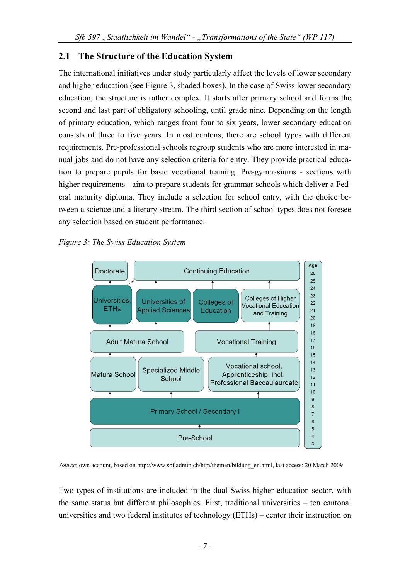# **2.1 The Structure of the Education System**

The international initiatives under study particularly affect the levels of lower secondary and higher education (see Figure 3, shaded boxes). In the case of Swiss lower secondary education, the structure is rather complex. It starts after primary school and forms the second and last part of obligatory schooling, until grade nine. Depending on the length of primary education, which ranges from four to six years, lower secondary education consists of three to five years. In most cantons, there are school types with different requirements. Pre-professional schools regroup students who are more interested in manual jobs and do not have any selection criteria for entry. They provide practical education to prepare pupils for basic vocational training. Pre-gymnasiums - sections with higher requirements - aim to prepare students for grammar schools which deliver a Federal maturity diploma. They include a selection for school entry, with the choice between a science and a literary stream. The third section of school types does not foresee any selection based on student performance.

*Figure 3: The Swiss Education System* 



*Source*: own account, based on http://www.sbf.admin.ch/htm/themen/bildung\_en.html, last access: 20 March 2009

Two types of institutions are included in the dual Swiss higher education sector, with the same status but different philosophies. First, traditional universities – ten cantonal universities and two federal institutes of technology (ETHs) – center their instruction on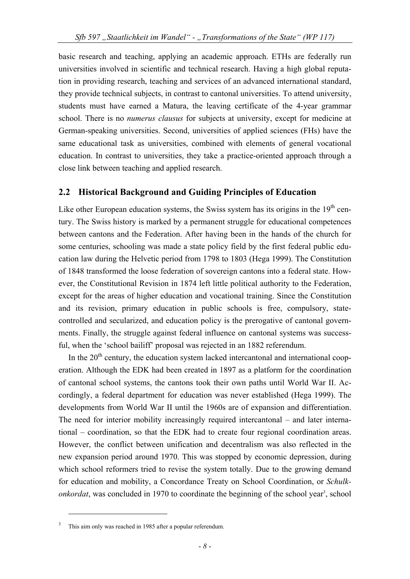basic research and teaching, applying an academic approach. ETHs are federally run universities involved in scientific and technical research. Having a high global reputation in providing research, teaching and services of an advanced international standard, they provide technical subjects, in contrast to cantonal universities. To attend university, students must have earned a Matura, the leaving certificate of the 4-year grammar school. There is no *numerus clausus* for subjects at university, except for medicine at German-speaking universities. Second, universities of applied sciences (FHs) have the same educational task as universities, combined with elements of general vocational education. In contrast to universities, they take a practice-oriented approach through a close link between teaching and applied research.

#### **2.2 Historical Background and Guiding Principles of Education**

Like other European education systems, the Swiss system has its origins in the  $19<sup>th</sup>$  century. The Swiss history is marked by a permanent struggle for educational competences between cantons and the Federation. After having been in the hands of the church for some centuries, schooling was made a state policy field by the first federal public education law during the Helvetic period from 1798 to 1803 (Hega 1999). The Constitution of 1848 transformed the loose federation of sovereign cantons into a federal state. However, the Constitutional Revision in 1874 left little political authority to the Federation, except for the areas of higher education and vocational training. Since the Constitution and its revision, primary education in public schools is free, compulsory, statecontrolled and secularized, and education policy is the prerogative of cantonal governments. Finally, the struggle against federal influence on cantonal systems was successful, when the 'school bailiff' proposal was rejected in an 1882 referendum.

In the  $20<sup>th</sup>$  century, the education system lacked intercantonal and international cooperation. Although the EDK had been created in 1897 as a platform for the coordination of cantonal school systems, the cantons took their own paths until World War II. Accordingly, a federal department for education was never established (Hega 1999). The developments from World War II until the 1960s are of expansion and differentiation. The need for interior mobility increasingly required intercantonal – and later international – coordination, so that the EDK had to create four regional coordination areas. However, the conflict between unification and decentralism was also reflected in the new expansion period around 1970. This was stopped by economic depression, during which school reformers tried to revise the system totally. Due to the growing demand for education and mobility, a Concordance Treaty on School Coordination, or *Schulk*onkordat, was concluded in 1970 to coordinate the beginning of the school year<sup>3</sup>, school

1

<sup>3</sup> This aim only was reached in 1985 after a popular referendum.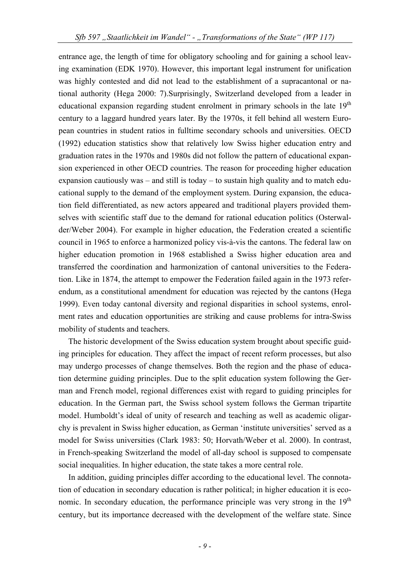entrance age, the length of time for obligatory schooling and for gaining a school leaving examination (EDK 1970). However, this important legal instrument for unification was highly contested and did not lead to the establishment of a supracantonal or national authority (Hega 2000: 7).Surprisingly, Switzerland developed from a leader in educational expansion regarding student enrolment in primary schools in the late 19<sup>th</sup> century to a laggard hundred years later. By the 1970s, it fell behind all western European countries in student ratios in fulltime secondary schools and universities. OECD (1992) education statistics show that relatively low Swiss higher education entry and graduation rates in the 1970s and 1980s did not follow the pattern of educational expansion experienced in other OECD countries. The reason for proceeding higher education expansion cautiously was – and still is today – to sustain high quality and to match educational supply to the demand of the employment system. During expansion, the education field differentiated, as new actors appeared and traditional players provided themselves with scientific staff due to the demand for rational education politics (Osterwalder/Weber 2004). For example in higher education, the Federation created a scientific council in 1965 to enforce a harmonized policy vis-à-vis the cantons. The federal law on higher education promotion in 1968 established a Swiss higher education area and transferred the coordination and harmonization of cantonal universities to the Federation. Like in 1874, the attempt to empower the Federation failed again in the 1973 referendum, as a constitutional amendment for education was rejected by the cantons (Hega 1999). Even today cantonal diversity and regional disparities in school systems, enrolment rates and education opportunities are striking and cause problems for intra-Swiss mobility of students and teachers.

The historic development of the Swiss education system brought about specific guiding principles for education. They affect the impact of recent reform processes, but also may undergo processes of change themselves. Both the region and the phase of education determine guiding principles. Due to the split education system following the German and French model, regional differences exist with regard to guiding principles for education. In the German part, the Swiss school system follows the German tripartite model. Humboldt's ideal of unity of research and teaching as well as academic oligarchy is prevalent in Swiss higher education, as German 'institute universities' served as a model for Swiss universities (Clark 1983: 50; Horvath/Weber et al. 2000). In contrast, in French-speaking Switzerland the model of all-day school is supposed to compensate social inequalities. In higher education, the state takes a more central role.

In addition, guiding principles differ according to the educational level. The connotation of education in secondary education is rather political; in higher education it is economic. In secondary education, the performance principle was very strong in the  $19<sup>th</sup>$ century, but its importance decreased with the development of the welfare state. Since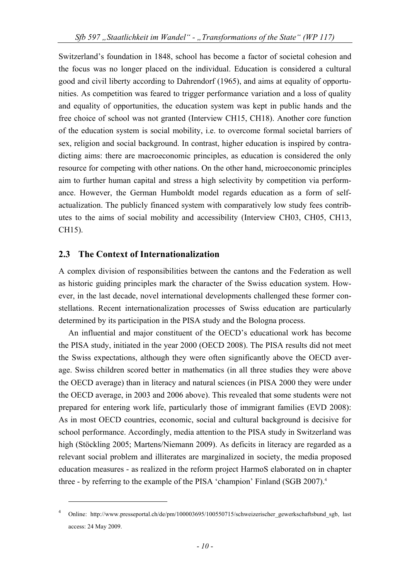Switzerland's foundation in 1848, school has become a factor of societal cohesion and the focus was no longer placed on the individual. Education is considered a cultural good and civil liberty according to Dahrendorf (1965), and aims at equality of opportunities. As competition was feared to trigger performance variation and a loss of quality and equality of opportunities, the education system was kept in public hands and the free choice of school was not granted (Interview CH15, CH18). Another core function of the education system is social mobility, i.e. to overcome formal societal barriers of sex, religion and social background. In contrast, higher education is inspired by contradicting aims: there are macroeconomic principles, as education is considered the only resource for competing with other nations. On the other hand, microeconomic principles aim to further human capital and stress a high selectivity by competition via performance. However, the German Humboldt model regards education as a form of selfactualization. The publicly financed system with comparatively low study fees contributes to the aims of social mobility and accessibility (Interview CH03, CH05, CH13, CH15).

## **2.3 The Context of Internationalization**

1

A complex division of responsibilities between the cantons and the Federation as well as historic guiding principles mark the character of the Swiss education system. However, in the last decade, novel international developments challenged these former constellations. Recent internationalization processes of Swiss education are particularly determined by its participation in the PISA study and the Bologna process.

An influential and major constituent of the OECD's educational work has become the PISA study, initiated in the year 2000 (OECD 2008). The PISA results did not meet the Swiss expectations, although they were often significantly above the OECD average. Swiss children scored better in mathematics (in all three studies they were above the OECD average) than in literacy and natural sciences (in PISA 2000 they were under the OECD average, in 2003 and 2006 above). This revealed that some students were not prepared for entering work life, particularly those of immigrant families (EVD 2008): As in most OECD countries, economic, social and cultural background is decisive for school performance. Accordingly, media attention to the PISA study in Switzerland was high (Stöckling 2005; Martens/Niemann 2009). As deficits in literacy are regarded as a relevant social problem and illiterates are marginalized in society, the media proposed education measures - as realized in the reform project HarmoS elaborated on in chapter three - by referring to the example of the PISA 'champion' Finland (SGB 2007).<sup>4</sup>

<sup>4</sup> Online: http://www.presseportal.ch/de/pm/100003695/100550715/schweizerischer\_gewerkschaftsbund\_sgb, last access: 24 May 2009.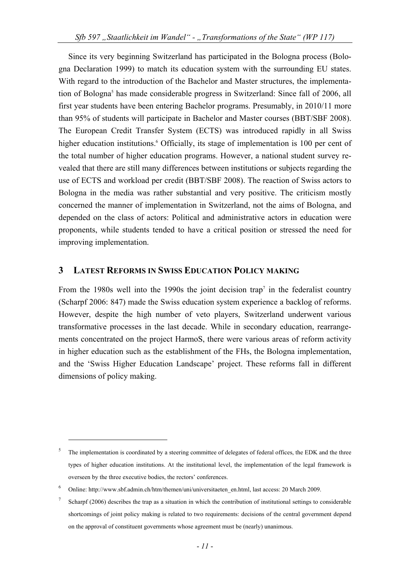Since its very beginning Switzerland has participated in the Bologna process (Bologna Declaration 1999) to match its education system with the surrounding EU states. With regard to the introduction of the Bachelor and Master structures, the implementation of Bologna<sup>5</sup> has made considerable progress in Switzerland: Since fall of 2006, all first year students have been entering Bachelor programs. Presumably, in 2010/11 more than 95% of students will participate in Bachelor and Master courses (BBT/SBF 2008). The European Credit Transfer System (ECTS) was introduced rapidly in all Swiss higher education institutions.<sup>6</sup> Officially, its stage of implementation is 100 per cent of the total number of higher education programs. However, a national student survey revealed that there are still many differences between institutions or subjects regarding the use of ECTS and workload per credit (BBT/SBF 2008). The reaction of Swiss actors to Bologna in the media was rather substantial and very positive. The criticism mostly concerned the manner of implementation in Switzerland, not the aims of Bologna, and depended on the class of actors: Political and administrative actors in education were proponents, while students tended to have a critical position or stressed the need for improving implementation.

#### **3 LATEST REFORMS IN SWISS EDUCATION POLICY MAKING**

From the 1980s well into the 1990s the joint decision trap<sup>7</sup> in the federalist country (Scharpf 2006: 847) made the Swiss education system experience a backlog of reforms. However, despite the high number of veto players, Switzerland underwent various transformative processes in the last decade. While in secondary education, rearrangements concentrated on the project HarmoS, there were various areas of reform activity in higher education such as the establishment of the FHs, the Bologna implementation, and the 'Swiss Higher Education Landscape' project. These reforms fall in different dimensions of policy making.

1

<sup>5</sup> The implementation is coordinated by a steering committee of delegates of federal offices, the EDK and the three types of higher education institutions. At the institutional level, the implementation of the legal framework is overseen by the three executive bodies, the rectors' conferences.

<sup>6</sup> Online: http://www.sbf.admin.ch/htm/themen/uni/universitaeten\_en.html, last access: 20 March 2009.

<sup>7</sup> Scharpf (2006) describes the trap as a situation in which the contribution of institutional settings to considerable shortcomings of joint policy making is related to two requirements: decisions of the central government depend on the approval of constituent governments whose agreement must be (nearly) unanimous.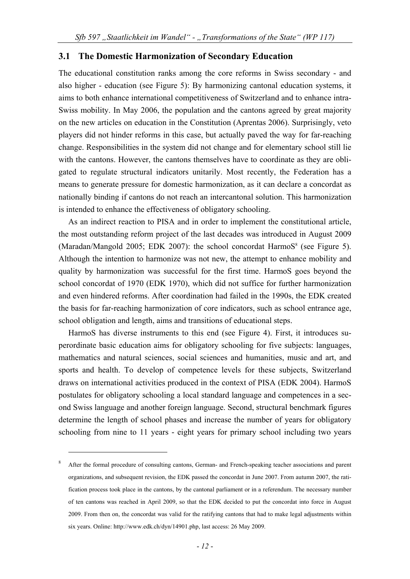#### **3.1 The Domestic Harmonization of Secondary Education**

The educational constitution ranks among the core reforms in Swiss secondary - and also higher - education (see Figure 5): By harmonizing cantonal education systems, it aims to both enhance international competitiveness of Switzerland and to enhance intra-Swiss mobility. In May 2006, the population and the cantons agreed by great majority on the new articles on education in the Constitution (Aprentas 2006). Surprisingly, veto players did not hinder reforms in this case, but actually paved the way for far-reaching change. Responsibilities in the system did not change and for elementary school still lie with the cantons. However, the cantons themselves have to coordinate as they are obligated to regulate structural indicators unitarily. Most recently, the Federation has a means to generate pressure for domestic harmonization, as it can declare a concordat as nationally binding if cantons do not reach an intercantonal solution. This harmonization is intended to enhance the effectiveness of obligatory schooling.

As an indirect reaction to PISA and in order to implement the constitutional article, the most outstanding reform project of the last decades was introduced in August 2009 (Maradan/Mangold 2005; EDK 2007): the school concordat HarmoS<sup>8</sup> (see Figure 5). Although the intention to harmonize was not new, the attempt to enhance mobility and quality by harmonization was successful for the first time. HarmoS goes beyond the school concordat of 1970 (EDK 1970), which did not suffice for further harmonization and even hindered reforms. After coordination had failed in the 1990s, the EDK created the basis for far-reaching harmonization of core indicators, such as school entrance age, school obligation and length, aims and transitions of educational steps.

HarmoS has diverse instruments to this end (see Figure 4). First, it introduces superordinate basic education aims for obligatory schooling for five subjects: languages, mathematics and natural sciences, social sciences and humanities, music and art, and sports and health. To develop of competence levels for these subjects, Switzerland draws on international activities produced in the context of PISA (EDK 2004). HarmoS postulates for obligatory schooling a local standard language and competences in a second Swiss language and another foreign language. Second, structural benchmark figures determine the length of school phases and increase the number of years for obligatory schooling from nine to 11 years - eight years for primary school including two years

1

<sup>8</sup> After the formal procedure of consulting cantons, German- and French-speaking teacher associations and parent organizations, and subsequent revision, the EDK passed the concordat in June 2007. From autumn 2007, the ratification process took place in the cantons, by the cantonal parliament or in a referendum. The necessary number of ten cantons was reached in April 2009, so that the EDK decided to put the concordat into force in August 2009. From then on, the concordat was valid for the ratifying cantons that had to make legal adjustments within six years. Online: http://www.edk.ch/dyn/14901.php, last access: 26 May 2009.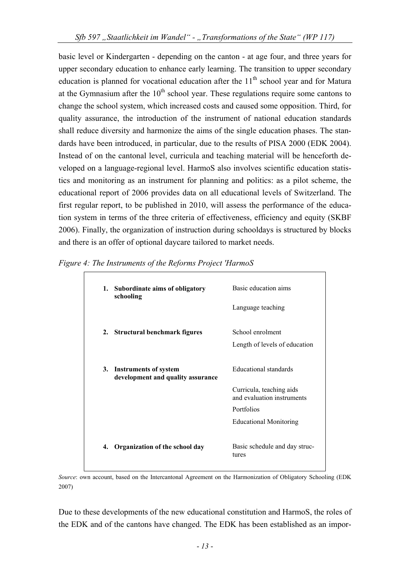basic level or Kindergarten - depending on the canton - at age four, and three years for upper secondary education to enhance early learning. The transition to upper secondary education is planned for vocational education after the  $11<sup>th</sup>$  school year and for Matura at the Gymnasium after the  $10<sup>th</sup>$  school year. These regulations require some cantons to change the school system, which increased costs and caused some opposition. Third, for quality assurance, the introduction of the instrument of national education standards shall reduce diversity and harmonize the aims of the single education phases. The standards have been introduced, in particular, due to the results of PISA 2000 (EDK 2004). Instead of on the cantonal level, curricula and teaching material will be henceforth developed on a language-regional level. HarmoS also involves scientific education statistics and monitoring as an instrument for planning and politics: as a pilot scheme, the educational report of 2006 provides data on all educational levels of Switzerland. The first regular report, to be published in 2010, will assess the performance of the education system in terms of the three criteria of effectiveness, efficiency and equity (SKBF 2006). Finally, the organization of instruction during schooldays is structured by blocks and there is an offer of optional daycare tailored to market needs.

|    | 1. Subordinate aims of obligatory<br>schooling                    | Basic education aims<br>Language teaching                                                                                      |
|----|-------------------------------------------------------------------|--------------------------------------------------------------------------------------------------------------------------------|
|    | 2. Structural benchmark figures                                   | School enrolment<br>Length of levels of education                                                                              |
| 3. | <b>Instruments of system</b><br>development and quality assurance | Educational standards<br>Curricula, teaching aids<br>and evaluation instruments<br>Portfolios<br><b>Educational Monitoring</b> |
| 4. | Organization of the school day                                    | Basic schedule and day struc-<br>tures                                                                                         |

*Figure 4: The Instruments of the Reforms Project 'HarmoS* 

*Source*: own account, based on the Intercantonal Agreement on the Harmonization of Obligatory Schooling (EDK 2007)

Due to these developments of the new educational constitution and HarmoS, the roles of the EDK and of the cantons have changed. The EDK has been established as an impor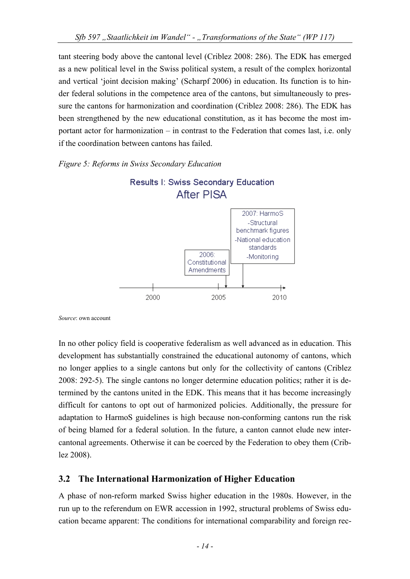tant steering body above the cantonal level (Criblez 2008: 286). The EDK has emerged as a new political level in the Swiss political system, a result of the complex horizontal and vertical 'joint decision making' (Scharpf 2006) in education. Its function is to hinder federal solutions in the competence area of the cantons, but simultaneously to pressure the cantons for harmonization and coordination (Criblez 2008: 286). The EDK has been strengthened by the new educational constitution, as it has become the most important actor for harmonization – in contrast to the Federation that comes last, i.e. only if the coordination between cantons has failed.

#### *Figure 5: Reforms in Swiss Secondary Education*



*Source*: own account

In no other policy field is cooperative federalism as well advanced as in education. This development has substantially constrained the educational autonomy of cantons, which no longer applies to a single cantons but only for the collectivity of cantons (Criblez 2008: 292-5). The single cantons no longer determine education politics; rather it is determined by the cantons united in the EDK. This means that it has become increasingly difficult for cantons to opt out of harmonized policies. Additionally, the pressure for adaptation to HarmoS guidelines is high because non-conforming cantons run the risk of being blamed for a federal solution. In the future, a canton cannot elude new intercantonal agreements. Otherwise it can be coerced by the Federation to obey them (Criblez 2008).

# **3.2 The International Harmonization of Higher Education**

A phase of non-reform marked Swiss higher education in the 1980s. However, in the run up to the referendum on EWR accession in 1992, structural problems of Swiss education became apparent: The conditions for international comparability and foreign rec-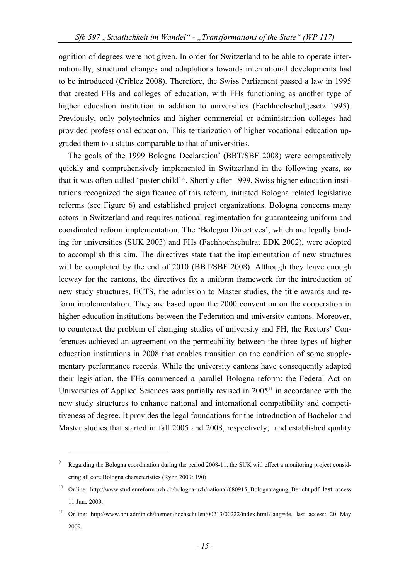ognition of degrees were not given. In order for Switzerland to be able to operate internationally, structural changes and adaptations towards international developments had to be introduced (Criblez 2008). Therefore, the Swiss Parliament passed a law in 1995 that created FHs and colleges of education, with FHs functioning as another type of higher education institution in addition to universities (Fachhochschulgesetz 1995). Previously, only polytechnics and higher commercial or administration colleges had provided professional education. This tertiarization of higher vocational education upgraded them to a status comparable to that of universities.

The goals of the 1999 Bologna Declaration<sup>9</sup> (BBT/SBF 2008) were comparatively quickly and comprehensively implemented in Switzerland in the following years, so that it was often called 'poster child'10. Shortly after 1999, Swiss higher education institutions recognized the significance of this reform, initiated Bologna related legislative reforms (see Figure 6) and established project organizations. Bologna concerns many actors in Switzerland and requires national regimentation for guaranteeing uniform and coordinated reform implementation. The 'Bologna Directives', which are legally binding for universities (SUK 2003) and FHs (Fachhochschulrat EDK 2002), were adopted to accomplish this aim. The directives state that the implementation of new structures will be completed by the end of 2010 (BBT/SBF 2008). Although they leave enough leeway for the cantons, the directives fix a uniform framework for the introduction of new study structures, ECTS, the admission to Master studies, the title awards and reform implementation. They are based upon the 2000 convention on the cooperation in higher education institutions between the Federation and university cantons. Moreover, to counteract the problem of changing studies of university and FH, the Rectors' Conferences achieved an agreement on the permeability between the three types of higher education institutions in 2008 that enables transition on the condition of some supplementary performance records. While the university cantons have consequently adapted their legislation, the FHs commenced a parallel Bologna reform: the Federal Act on Universities of Applied Sciences was partially revised in  $2005<sup>11</sup>$  in accordance with the new study structures to enhance national and international compatibility and competitiveness of degree. It provides the legal foundations for the introduction of Bachelor and Master studies that started in fall 2005 and 2008, respectively, and established quality

1

<sup>9</sup> Regarding the Bologna coordination during the period 2008-11, the SUK will effect a monitoring project considering all core Bologna characteristics (Ryhn 2009: 190).

<sup>10</sup> Online: http://www.studienreform.uzh.ch/bologna-uzh/national/080915\_Bolognatagung\_Bericht.pdf last access 11 June 2009.

<sup>11</sup> Online: http://www.bbt.admin.ch/themen/hochschulen/00213/00222/index.html?lang=de, last access: 20 May 2009.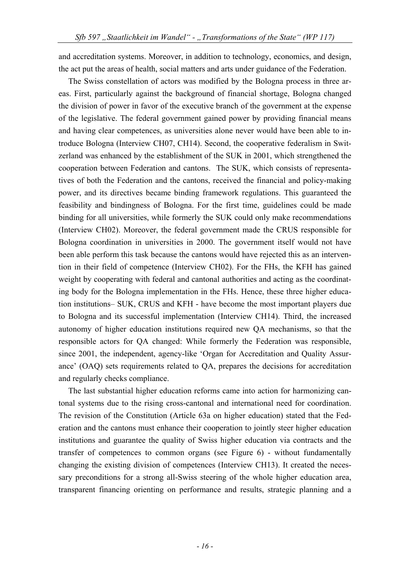and accreditation systems. Moreover, in addition to technology, economics, and design, the act put the areas of health, social matters and arts under guidance of the Federation.

The Swiss constellation of actors was modified by the Bologna process in three areas. First, particularly against the background of financial shortage, Bologna changed the division of power in favor of the executive branch of the government at the expense of the legislative. The federal government gained power by providing financial means and having clear competences, as universities alone never would have been able to introduce Bologna (Interview CH07, CH14). Second, the cooperative federalism in Switzerland was enhanced by the establishment of the SUK in 2001, which strengthened the cooperation between Federation and cantons. The SUK, which consists of representatives of both the Federation and the cantons, received the financial and policy-making power, and its directives became binding framework regulations. This guaranteed the feasibility and bindingness of Bologna. For the first time, guidelines could be made binding for all universities, while formerly the SUK could only make recommendations (Interview CH02). Moreover, the federal government made the CRUS responsible for Bologna coordination in universities in 2000. The government itself would not have been able perform this task because the cantons would have rejected this as an intervention in their field of competence (Interview CH02). For the FHs, the KFH has gained weight by cooperating with federal and cantonal authorities and acting as the coordinating body for the Bologna implementation in the FHs. Hence, these three higher education institutions– SUK, CRUS and KFH - have become the most important players due to Bologna and its successful implementation (Interview CH14). Third, the increased autonomy of higher education institutions required new QA mechanisms, so that the responsible actors for QA changed: While formerly the Federation was responsible, since 2001, the independent, agency-like 'Organ for Accreditation and Quality Assurance' (OAQ) sets requirements related to QA, prepares the decisions for accreditation and regularly checks compliance.

The last substantial higher education reforms came into action for harmonizing cantonal systems due to the rising cross-cantonal and international need for coordination. The revision of the Constitution (Article 63a on higher education) stated that the Federation and the cantons must enhance their cooperation to jointly steer higher education institutions and guarantee the quality of Swiss higher education via contracts and the transfer of competences to common organs (see Figure 6) - without fundamentally changing the existing division of competences (Interview CH13). It created the necessary preconditions for a strong all-Swiss steering of the whole higher education area, transparent financing orienting on performance and results, strategic planning and a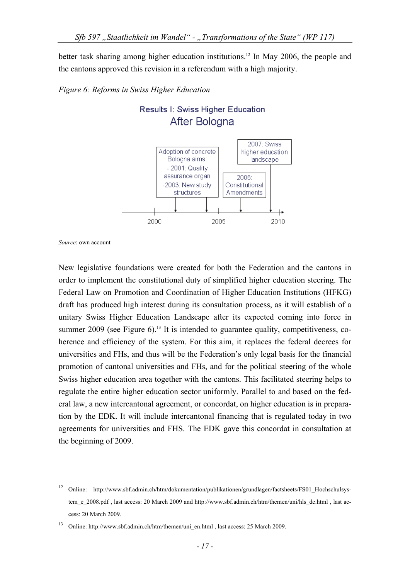better task sharing among higher education institutions.<sup>12</sup> In May 2006, the people and the cantons approved this revision in a referendum with a high majority.





Results I: Swiss Higher Education After Bologna

*Source*: own account

1

New legislative foundations were created for both the Federation and the cantons in order to implement the constitutional duty of simplified higher education steering. The Federal Law on Promotion and Coordination of Higher Education Institutions (HFKG) draft has produced high interest during its consultation process, as it will establish of a unitary Swiss Higher Education Landscape after its expected coming into force in summer  $2009$  (see Figure 6).<sup>13</sup> It is intended to guarantee quality, competitiveness, coherence and efficiency of the system. For this aim, it replaces the federal decrees for universities and FHs, and thus will be the Federation's only legal basis for the financial promotion of cantonal universities and FHs, and for the political steering of the whole Swiss higher education area together with the cantons. This facilitated steering helps to regulate the entire higher education sector uniformly. Parallel to and based on the federal law, a new intercantonal agreement, or concordat, on higher education is in preparation by the EDK. It will include intercantonal financing that is regulated today in two agreements for universities and FHS. The EDK gave this concordat in consultation at the beginning of 2009.

<sup>&</sup>lt;sup>12</sup> Online: http://www.sbf.admin.ch/htm/dokumentation/publikationen/grundlagen/factsheets/FS01 Hochschulsystem\_e\_2008.pdf , last access: 20 March 2009 and http://www.sbf.admin.ch/htm/themen/uni/hls\_de.html , last access: 20 March 2009.

<sup>&</sup>lt;sup>13</sup> Online: http://www.sbf.admin.ch/htm/themen/uni\_en.html , last access: 25 March 2009.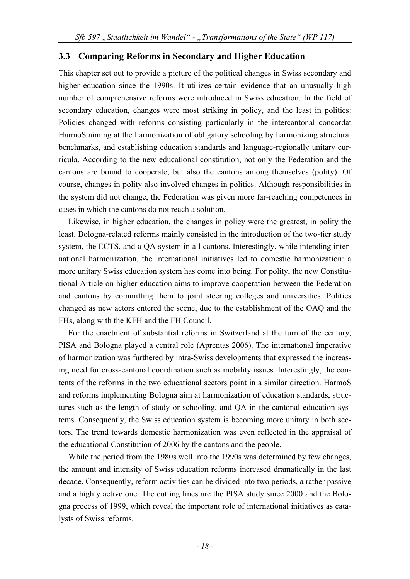#### **3.3 Comparing Reforms in Secondary and Higher Education**

This chapter set out to provide a picture of the political changes in Swiss secondary and higher education since the 1990s. It utilizes certain evidence that an unusually high number of comprehensive reforms were introduced in Swiss education. In the field of secondary education, changes were most striking in policy, and the least in politics: Policies changed with reforms consisting particularly in the intercantonal concordat HarmoS aiming at the harmonization of obligatory schooling by harmonizing structural benchmarks, and establishing education standards and language-regionally unitary curricula. According to the new educational constitution, not only the Federation and the cantons are bound to cooperate, but also the cantons among themselves (polity). Of course, changes in polity also involved changes in politics. Although responsibilities in the system did not change, the Federation was given more far-reaching competences in cases in which the cantons do not reach a solution.

Likewise, in higher education, the changes in policy were the greatest, in polity the least. Bologna-related reforms mainly consisted in the introduction of the two-tier study system, the ECTS, and a QA system in all cantons. Interestingly, while intending international harmonization, the international initiatives led to domestic harmonization: a more unitary Swiss education system has come into being. For polity, the new Constitutional Article on higher education aims to improve cooperation between the Federation and cantons by committing them to joint steering colleges and universities. Politics changed as new actors entered the scene, due to the establishment of the OAQ and the FHs, along with the KFH and the FH Council.

For the enactment of substantial reforms in Switzerland at the turn of the century, PISA and Bologna played a central role (Aprentas 2006). The international imperative of harmonization was furthered by intra-Swiss developments that expressed the increasing need for cross-cantonal coordination such as mobility issues. Interestingly, the contents of the reforms in the two educational sectors point in a similar direction. HarmoS and reforms implementing Bologna aim at harmonization of education standards, structures such as the length of study or schooling, and QA in the cantonal education systems. Consequently, the Swiss education system is becoming more unitary in both sectors. The trend towards domestic harmonization was even reflected in the appraisal of the educational Constitution of 2006 by the cantons and the people.

While the period from the 1980s well into the 1990s was determined by few changes, the amount and intensity of Swiss education reforms increased dramatically in the last decade. Consequently, reform activities can be divided into two periods, a rather passive and a highly active one. The cutting lines are the PISA study since 2000 and the Bologna process of 1999, which reveal the important role of international initiatives as catalysts of Swiss reforms.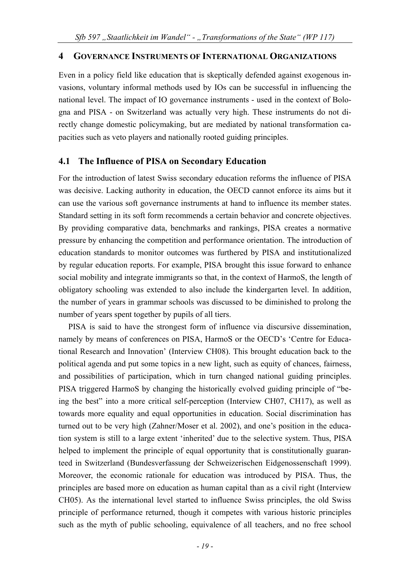#### **4 GOVERNANCE INSTRUMENTS OF INTERNATIONAL ORGANIZATIONS**

Even in a policy field like education that is skeptically defended against exogenous invasions, voluntary informal methods used by IOs can be successful in influencing the national level. The impact of IO governance instruments - used in the context of Bologna and PISA - on Switzerland was actually very high. These instruments do not directly change domestic policymaking, but are mediated by national transformation capacities such as veto players and nationally rooted guiding principles.

#### **4.1 The Influence of PISA on Secondary Education**

For the introduction of latest Swiss secondary education reforms the influence of PISA was decisive. Lacking authority in education, the OECD cannot enforce its aims but it can use the various soft governance instruments at hand to influence its member states. Standard setting in its soft form recommends a certain behavior and concrete objectives. By providing comparative data, benchmarks and rankings, PISA creates a normative pressure by enhancing the competition and performance orientation. The introduction of education standards to monitor outcomes was furthered by PISA and institutionalized by regular education reports. For example, PISA brought this issue forward to enhance social mobility and integrate immigrants so that, in the context of HarmoS, the length of obligatory schooling was extended to also include the kindergarten level. In addition, the number of years in grammar schools was discussed to be diminished to prolong the number of years spent together by pupils of all tiers.

PISA is said to have the strongest form of influence via discursive dissemination, namely by means of conferences on PISA, HarmoS or the OECD's 'Centre for Educational Research and Innovation' (Interview CH08). This brought education back to the political agenda and put some topics in a new light, such as equity of chances, fairness, and possibilities of participation, which in turn changed national guiding principles. PISA triggered HarmoS by changing the historically evolved guiding principle of "being the best" into a more critical self-perception (Interview CH07, CH17), as well as towards more equality and equal opportunities in education. Social discrimination has turned out to be very high (Zahner/Moser et al. 2002), and one's position in the education system is still to a large extent 'inherited' due to the selective system. Thus, PISA helped to implement the principle of equal opportunity that is constitutionally guaranteed in Switzerland (Bundesverfassung der Schweizerischen Eidgenossenschaft 1999). Moreover, the economic rationale for education was introduced by PISA. Thus, the principles are based more on education as human capital than as a civil right (Interview CH05). As the international level started to influence Swiss principles, the old Swiss principle of performance returned, though it competes with various historic principles such as the myth of public schooling, equivalence of all teachers, and no free school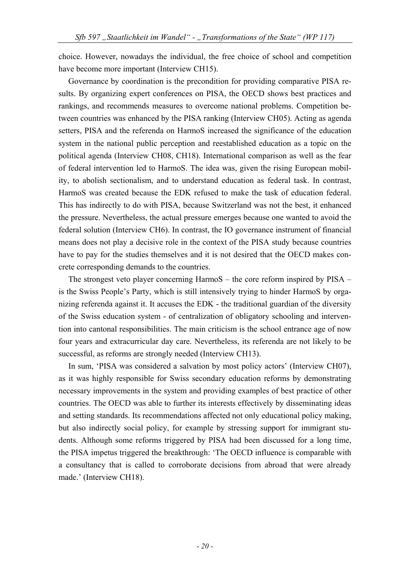choice. However, nowadays the individual, the free choice of school and competition have become more important (Interview CH15).

Governance by coordination is the precondition for providing comparative PISA results. By organizing expert conferences on PISA, the OECD shows best practices and rankings, and recommends measures to overcome national problems. Competition between countries was enhanced by the PISA ranking (Interview CH05). Acting as agenda setters, PISA and the referenda on HarmoS increased the significance of the education system in the national public perception and reestablished education as a topic on the political agenda (Interview CH08, CH18). International comparison as well as the fear of federal intervention led to HarmoS. The idea was, given the rising European mobility, to abolish sectionalism, and to understand education as federal task. In contrast, HarmoS was created because the EDK refused to make the task of education federal. This has indirectly to do with PISA, because Switzerland was not the best, it enhanced the pressure. Nevertheless, the actual pressure emerges because one wanted to avoid the federal solution (Interview CH6). In contrast, the IO governance instrument of financial means does not play a decisive role in the context of the PISA study because countries have to pay for the studies themselves and it is not desired that the OECD makes concrete corresponding demands to the countries.

The strongest veto player concerning HarmoS – the core reform inspired by PISA – is the Swiss People's Party, which is still intensively trying to hinder HarmoS by organizing referenda against it. It accuses the EDK - the traditional guardian of the diversity of the Swiss education system - of centralization of obligatory schooling and intervention into cantonal responsibilities. The main criticism is the school entrance age of now four years and extracurricular day care. Nevertheless, its referenda are not likely to be successful, as reforms are strongly needed (Interview CH13).

In sum, 'PISA was considered a salvation by most policy actors' (Interview CH07), as it was highly responsible for Swiss secondary education reforms by demonstrating necessary improvements in the system and providing examples of best practice of other countries. The OECD was able to further its interests effectively by disseminating ideas and setting standards. Its recommendations affected not only educational policy making, but also indirectly social policy, for example by stressing support for immigrant students. Although some reforms triggered by PISA had been discussed for a long time, the PISA impetus triggered the breakthrough: 'The OECD influence is comparable with a consultancy that is called to corroborate decisions from abroad that were already made.' (Interview CH18).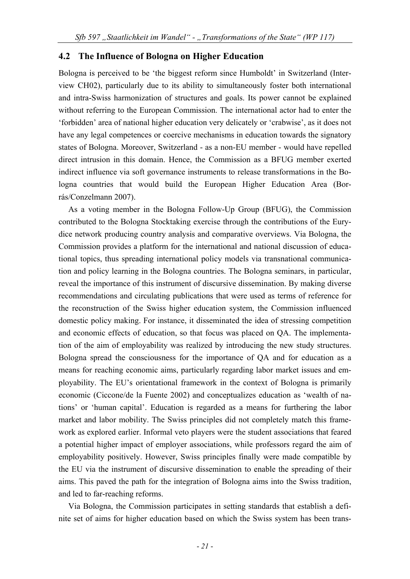#### **4.2 The Influence of Bologna on Higher Education**

Bologna is perceived to be 'the biggest reform since Humboldt' in Switzerland (Interview CH02), particularly due to its ability to simultaneously foster both international and intra-Swiss harmonization of structures and goals. Its power cannot be explained without referring to the European Commission. The international actor had to enter the 'forbidden' area of national higher education very delicately or 'crabwise', as it does not have any legal competences or coercive mechanisms in education towards the signatory states of Bologna. Moreover, Switzerland - as a non-EU member - would have repelled direct intrusion in this domain. Hence, the Commission as a BFUG member exerted indirect influence via soft governance instruments to release transformations in the Bologna countries that would build the European Higher Education Area (Borrás/Conzelmann 2007).

As a voting member in the Bologna Follow-Up Group (BFUG), the Commission contributed to the Bologna Stocktaking exercise through the contributions of the Eurydice network producing country analysis and comparative overviews. Via Bologna, the Commission provides a platform for the international and national discussion of educational topics, thus spreading international policy models via transnational communication and policy learning in the Bologna countries. The Bologna seminars, in particular, reveal the importance of this instrument of discursive dissemination. By making diverse recommendations and circulating publications that were used as terms of reference for the reconstruction of the Swiss higher education system, the Commission influenced domestic policy making. For instance, it disseminated the idea of stressing competition and economic effects of education, so that focus was placed on QA. The implementation of the aim of employability was realized by introducing the new study structures. Bologna spread the consciousness for the importance of QA and for education as a means for reaching economic aims, particularly regarding labor market issues and employability. The EU's orientational framework in the context of Bologna is primarily economic (Ciccone/de la Fuente 2002) and conceptualizes education as 'wealth of nations' or 'human capital'. Education is regarded as a means for furthering the labor market and labor mobility. The Swiss principles did not completely match this framework as explored earlier. Informal veto players were the student associations that feared a potential higher impact of employer associations, while professors regard the aim of employability positively. However, Swiss principles finally were made compatible by the EU via the instrument of discursive dissemination to enable the spreading of their aims. This paved the path for the integration of Bologna aims into the Swiss tradition, and led to far-reaching reforms.

Via Bologna, the Commission participates in setting standards that establish a definite set of aims for higher education based on which the Swiss system has been trans-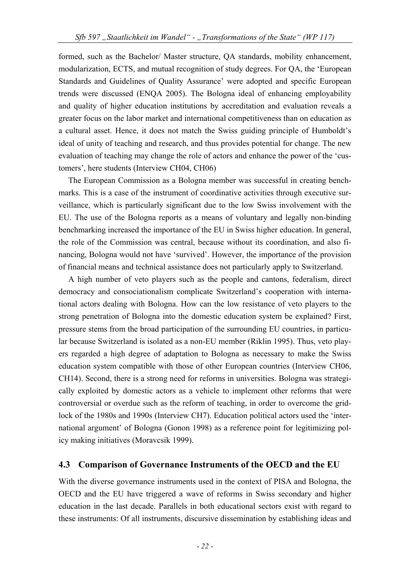formed, such as the Bachelor/ Master structure, QA standards, mobility enhancement, modularization, ECTS, and mutual recognition of study degrees. For QA, the 'European Standards and Guidelines of Quality Assurance' were adopted and specific European trends were discussed (ENQA 2005). The Bologna ideal of enhancing employability and quality of higher education institutions by accreditation and evaluation reveals a greater focus on the labor market and international competitiveness than on education as a cultural asset. Hence, it does not match the Swiss guiding principle of Humboldt's ideal of unity of teaching and research, and thus provides potential for change. The new evaluation of teaching may change the role of actors and enhance the power of the 'customers', here students (Interview CH04, CH06)

The European Commission as a Bologna member was successful in creating benchmarks. This is a case of the instrument of coordinative activities through executive surveillance, which is particularly significant due to the low Swiss involvement with the EU. The use of the Bologna reports as a means of voluntary and legally non-binding benchmarking increased the importance of the EU in Swiss higher education. In general, the role of the Commission was central, because without its coordination, and also financing, Bologna would not have 'survived'. However, the importance of the provision of financial means and technical assistance does not particularly apply to Switzerland.

A high number of veto players such as the people and cantons, federalism, direct democracy and consociationalism complicate Switzerland's cooperation with international actors dealing with Bologna. How can the low resistance of veto players to the strong penetration of Bologna into the domestic education system be explained? First, pressure stems from the broad participation of the surrounding EU countries, in particular because Switzerland is isolated as a non-EU member (Riklin 1995). Thus, veto players regarded a high degree of adaptation to Bologna as necessary to make the Swiss education system compatible with those of other European countries (Interview CH06, CH14). Second, there is a strong need for reforms in universities. Bologna was strategically exploited by domestic actors as a vehicle to implement other reforms that were controversial or overdue such as the reform of teaching, in order to overcome the gridlock of the 1980s and 1990s (Interview CH7). Education political actors used the 'international argument' of Bologna (Gonon 1998) as a reference point for legitimizing policy making initiatives (Moravcsik 1999).

#### **4.3 Comparison of Governance Instruments of the OECD and the EU**

With the diverse governance instruments used in the context of PISA and Bologna, the OECD and the EU have triggered a wave of reforms in Swiss secondary and higher education in the last decade. Parallels in both educational sectors exist with regard to these instruments: Of all instruments, discursive dissemination by establishing ideas and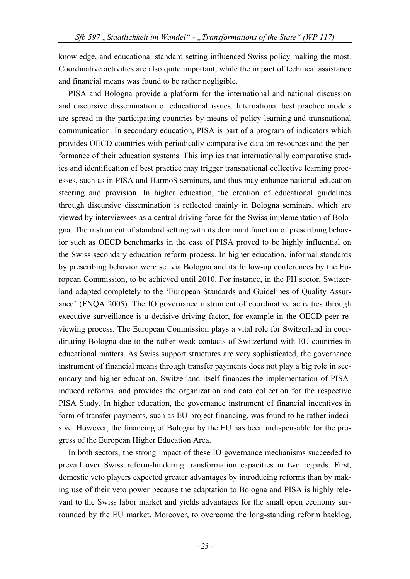knowledge, and educational standard setting influenced Swiss policy making the most. Coordinative activities are also quite important, while the impact of technical assistance and financial means was found to be rather negligible.

PISA and Bologna provide a platform for the international and national discussion and discursive dissemination of educational issues. International best practice models are spread in the participating countries by means of policy learning and transnational communication. In secondary education, PISA is part of a program of indicators which provides OECD countries with periodically comparative data on resources and the performance of their education systems. This implies that internationally comparative studies and identification of best practice may trigger transnational collective learning processes, such as in PISA and HarmoS seminars, and thus may enhance national education steering and provision. In higher education, the creation of educational guidelines through discursive dissemination is reflected mainly in Bologna seminars, which are viewed by interviewees as a central driving force for the Swiss implementation of Bologna. The instrument of standard setting with its dominant function of prescribing behavior such as OECD benchmarks in the case of PISA proved to be highly influential on the Swiss secondary education reform process. In higher education, informal standards by prescribing behavior were set via Bologna and its follow-up conferences by the European Commission, to be achieved until 2010. For instance, in the FH sector, Switzerland adapted completely to the 'European Standards and Guidelines of Quality Assurance' (ENQA 2005). The IO governance instrument of coordinative activities through executive surveillance is a decisive driving factor, for example in the OECD peer reviewing process. The European Commission plays a vital role for Switzerland in coordinating Bologna due to the rather weak contacts of Switzerland with EU countries in educational matters. As Swiss support structures are very sophisticated, the governance instrument of financial means through transfer payments does not play a big role in secondary and higher education. Switzerland itself finances the implementation of PISAinduced reforms, and provides the organization and data collection for the respective PISA Study. In higher education, the governance instrument of financial incentives in form of transfer payments, such as EU project financing, was found to be rather indecisive. However, the financing of Bologna by the EU has been indispensable for the progress of the European Higher Education Area.

In both sectors, the strong impact of these IO governance mechanisms succeeded to prevail over Swiss reform-hindering transformation capacities in two regards. First, domestic veto players expected greater advantages by introducing reforms than by making use of their veto power because the adaptation to Bologna and PISA is highly relevant to the Swiss labor market and yields advantages for the small open economy surrounded by the EU market. Moreover, to overcome the long-standing reform backlog,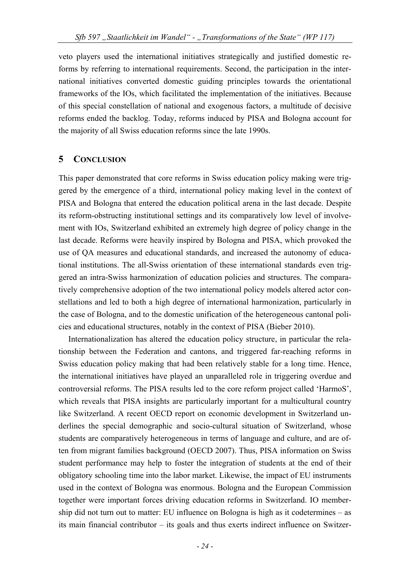veto players used the international initiatives strategically and justified domestic reforms by referring to international requirements. Second, the participation in the international initiatives converted domestic guiding principles towards the orientational frameworks of the IOs, which facilitated the implementation of the initiatives. Because of this special constellation of national and exogenous factors, a multitude of decisive reforms ended the backlog. Today, reforms induced by PISA and Bologna account for the majority of all Swiss education reforms since the late 1990s.

#### **5 CONCLUSION**

This paper demonstrated that core reforms in Swiss education policy making were triggered by the emergence of a third, international policy making level in the context of PISA and Bologna that entered the education political arena in the last decade. Despite its reform-obstructing institutional settings and its comparatively low level of involvement with IOs, Switzerland exhibited an extremely high degree of policy change in the last decade. Reforms were heavily inspired by Bologna and PISA, which provoked the use of QA measures and educational standards, and increased the autonomy of educational institutions. The all-Swiss orientation of these international standards even triggered an intra-Swiss harmonization of education policies and structures. The comparatively comprehensive adoption of the two international policy models altered actor constellations and led to both a high degree of international harmonization, particularly in the case of Bologna, and to the domestic unification of the heterogeneous cantonal policies and educational structures, notably in the context of PISA (Bieber 2010).

Internationalization has altered the education policy structure, in particular the relationship between the Federation and cantons, and triggered far-reaching reforms in Swiss education policy making that had been relatively stable for a long time. Hence, the international initiatives have played an unparalleled role in triggering overdue and controversial reforms. The PISA results led to the core reform project called 'HarmoS', which reveals that PISA insights are particularly important for a multicultural country like Switzerland. A recent OECD report on economic development in Switzerland underlines the special demographic and socio-cultural situation of Switzerland, whose students are comparatively heterogeneous in terms of language and culture, and are often from migrant families background (OECD 2007). Thus, PISA information on Swiss student performance may help to foster the integration of students at the end of their obligatory schooling time into the labor market. Likewise, the impact of EU instruments used in the context of Bologna was enormous. Bologna and the European Commission together were important forces driving education reforms in Switzerland. IO membership did not turn out to matter: EU influence on Bologna is high as it codetermines – as its main financial contributor – its goals and thus exerts indirect influence on Switzer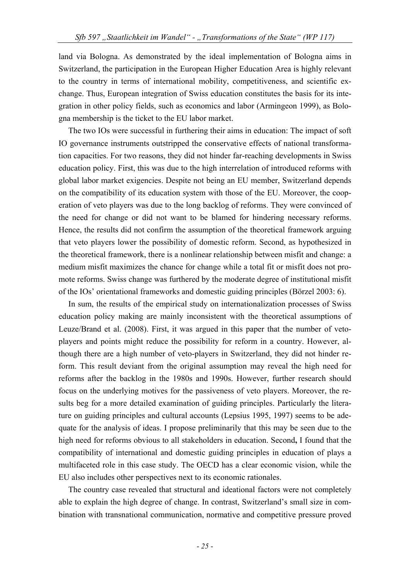land via Bologna. As demonstrated by the ideal implementation of Bologna aims in Switzerland, the participation in the European Higher Education Area is highly relevant to the country in terms of international mobility, competitiveness, and scientific exchange. Thus, European integration of Swiss education constitutes the basis for its integration in other policy fields, such as economics and labor (Armingeon 1999), as Bologna membership is the ticket to the EU labor market.

The two IOs were successful in furthering their aims in education: The impact of soft IO governance instruments outstripped the conservative effects of national transformation capacities. For two reasons, they did not hinder far-reaching developments in Swiss education policy. First, this was due to the high interrelation of introduced reforms with global labor market exigencies. Despite not being an EU member, Switzerland depends on the compatibility of its education system with those of the EU. Moreover, the cooperation of veto players was due to the long backlog of reforms. They were convinced of the need for change or did not want to be blamed for hindering necessary reforms. Hence, the results did not confirm the assumption of the theoretical framework arguing that veto players lower the possibility of domestic reform. Second, as hypothesized in the theoretical framework, there is a nonlinear relationship between misfit and change: a medium misfit maximizes the chance for change while a total fit or misfit does not promote reforms. Swiss change was furthered by the moderate degree of institutional misfit of the IOs' orientational frameworks and domestic guiding principles (Börzel 2003: 6).

In sum, the results of the empirical study on internationalization processes of Swiss education policy making are mainly inconsistent with the theoretical assumptions of Leuze/Brand et al. (2008). First, it was argued in this paper that the number of vetoplayers and points might reduce the possibility for reform in a country. However, although there are a high number of veto-players in Switzerland, they did not hinder reform. This result deviant from the original assumption may reveal the high need for reforms after the backlog in the 1980s and 1990s. However, further research should focus on the underlying motives for the passiveness of veto players. Moreover, the results beg for a more detailed examination of guiding principles. Particularly the literature on guiding principles and cultural accounts (Lepsius 1995, 1997) seems to be adequate for the analysis of ideas. I propose preliminarily that this may be seen due to the high need for reforms obvious to all stakeholders in education. Second**,** I found that the compatibility of international and domestic guiding principles in education of plays a multifaceted role in this case study. The OECD has a clear economic vision, while the EU also includes other perspectives next to its economic rationales.

The country case revealed that structural and ideational factors were not completely able to explain the high degree of change. In contrast, Switzerland's small size in combination with transnational communication, normative and competitive pressure proved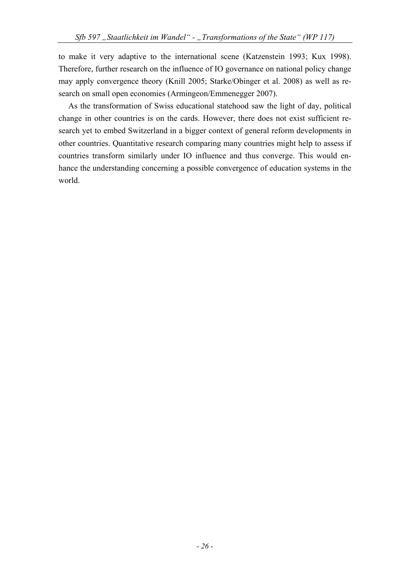to make it very adaptive to the international scene (Katzenstein 1993; Kux 1998). Therefore, further research on the influence of IO governance on national policy change may apply convergence theory (Knill 2005; Starke/Obinger et al. 2008) as well as research on small open economies (Armingeon/Emmenegger 2007).

As the transformation of Swiss educational statehood saw the light of day, political change in other countries is on the cards. However, there does not exist sufficient research yet to embed Switzerland in a bigger context of general reform developments in other countries. Quantitative research comparing many countries might help to assess if countries transform similarly under IO influence and thus converge. This would enhance the understanding concerning a possible convergence of education systems in the world.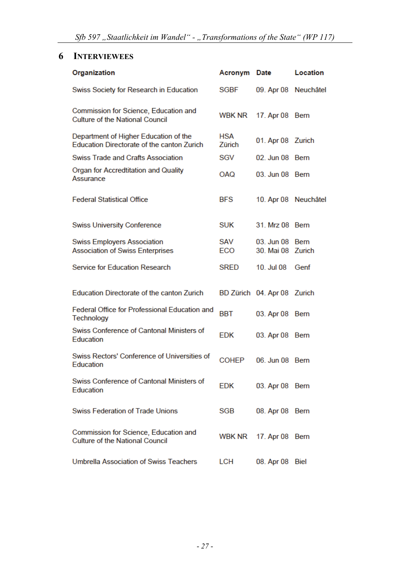# **6 INTERVIEWEES**

| Organization                                                                        | Acronym              | Date                            | Location             |
|-------------------------------------------------------------------------------------|----------------------|---------------------------------|----------------------|
| Swiss Society for Research in Education                                             | SGBF                 | 09. Apr 08 Neuchâtel            |                      |
| Commission for Science, Education and<br><b>Culture of the National Council</b>     | WBK NR               | 17. Apr 08 Bern                 |                      |
| Department of Higher Education of the<br>Education Directorate of the canton Zurich | <b>HSA</b><br>Zürich | 01. Apr 08 Zurich               |                      |
| Swiss Trade and Crafts Association                                                  | SGV                  | 02 Jun 08 Bern                  |                      |
| Organ for Accredtitation and Quality<br>Assurance                                   | <b>OAQ</b>           | 03 Jun 08 Bern                  |                      |
| <b>Federal Statistical Office</b>                                                   | <b>BFS</b>           |                                 | 10. Apr 08 Neuchâtel |
| <b>Swiss University Conference</b>                                                  | <b>SUK</b>           | 31. Mrz 08 Bern                 |                      |
| <b>Swiss Employers Association</b><br><b>Association of Swiss Enterprises</b>       | SAV<br>ECO           | 03. Jun 08<br>30. Mai 08 Zurich | <b>Bern</b>          |
| Service for Education Research                                                      | <b>SRED</b>          | 10. Jul 08                      | Genf                 |
| Education Directorate of the canton Zurich                                          |                      | BD Zürich 04. Apr 08 Zurich     |                      |
| Federal Office for Professional Education and<br>Technology                         | BBT                  | 03. Apr 08                      | Bern                 |
| Swiss Conference of Cantonal Ministers of<br>Education                              | EDK                  | 03. Apr 08 Bern                 |                      |
| Swiss Rectors' Conference of Universities of<br>Education                           | <b>COHEP</b>         | 06 Jun 08 Bern                  |                      |
| Swiss Conference of Cantonal Ministers of<br>Education                              | EDK                  | 03. Apr 08 Bern                 |                      |
| <b>Swiss Federation of Trade Unions</b>                                             | SGB                  | 08. Apr 08 Bern                 |                      |
| Commission for Science, Education and<br><b>Culture of the National Council</b>     | <b>WBK NR</b>        | 17. Apr 08 Bern                 |                      |
| Umbrella Association of Swiss Teachers                                              | LCH                  | 08. Apr 08 Biel                 |                      |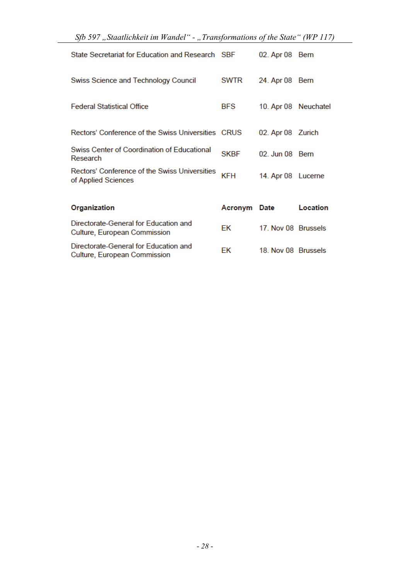|  |  |  | Sfb 597 "Staatlichkeit im Wandel" - "Transformations of the State" (WP 117) |  |  |  |  |  |  |  |  |  |
|--|--|--|-----------------------------------------------------------------------------|--|--|--|--|--|--|--|--|--|
|--|--|--|-----------------------------------------------------------------------------|--|--|--|--|--|--|--|--|--|

| State Secretariat for Education and Research SBF                      |             | 02. Apr 08           | Bern     |
|-----------------------------------------------------------------------|-------------|----------------------|----------|
| Swiss Science and Technology Council                                  | <b>SWTR</b> | 24. Apr 08           | Bern     |
| <b>Federal Statistical Office</b>                                     | <b>BFS</b>  | 10. Apr 08 Neuchatel |          |
| Rectors' Conference of the Swiss Universities CRUS                    |             | 02. Apr 08 Zurich    |          |
| Swiss Center of Coordination of Educational<br>Research               | <b>SKBF</b> | 02 Jun 08 Bern       |          |
| Rectors' Conference of the Swiss Universities<br>of Applied Sciences  | KFH         | 14. Apr 08 Lucerne   |          |
|                                                                       |             |                      |          |
| Organization                                                          | Acronym     | Date                 | Location |
| Directorate-General for Education and<br>Culture, European Commission | ЕK          | 17. Nov 08 Brussels  |          |
| Directorate-General for Education and<br>Culture, European Commission | ЕK          | 18. Nov 08 Brussels  |          |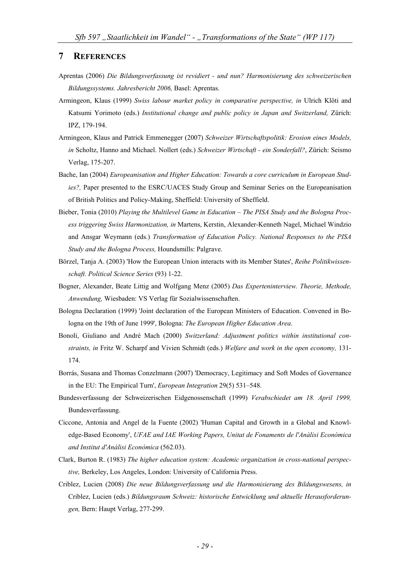#### **7 REFERENCES**

- Aprentas (2006) *Die Bildungsverfassung ist revidiert und nun? Harmonisierung des schweizerischen Bildungssystems. Jahresbericht 2006,* Basel: Aprentas.
- Armingeon, Klaus (1999) *Swiss labour market policy in comparative perspective, in* Ulrich Klöti and Katsumi Yorimoto (eds.) *Institutional change and public policy in Japan and Switzerland*, Zürich: IPZ, 179-194.
- Armingeon, Klaus and Patrick Emmenegger (2007) *Schweizer Wirtschaftspolitik: Erosion eines Models, in* Scholtz, Hanno and Michael. Nollert (eds.) *Schweizer Wirtschaft - ein Sonderfall?*, Zürich: Seismo Verlag, 175-207.
- Bache, Ian (2004) *Europeanisation and Higher Education: Towards a core curriculum in European Studies?,* Paper presented to the ESRC/UACES Study Group and Seminar Series on the Europeanisation of British Politics and Policy-Making, Sheffield: University of Sheffield.
- Bieber, Tonia (2010) *Playing the Multilevel Game in Education The PISA Study and the Bologna Process triggering Swiss Harmonization, in* Martens, Kerstin, Alexander-Kenneth Nagel, Michael Windzio and Ansgar Weymann (eds.) *Transformation of Education Policy. National Responses to the PISA Study and the Bologna Process,* Houndsmills: Palgrave.
- Börzel, Tanja A. (2003) 'How the European Union interacts with its Member States', *Reihe Politikwissenschaft. Political Science Series* (93) 1-22.
- Bogner, Alexander, Beate Littig and Wolfgang Menz (2005) *Das Experteninterview. Theorie, Methode, Anwendung,* Wiesbaden: VS Verlag für Sozialwissenschaften.
- Bologna Declaration (1999) 'Joint declaration of the European Ministers of Education. Convened in Bologna on the 19th of June 1999', Bologna: *The European Higher Education Area*.
- Bonoli, Giuliano and André Mach (2000) *Switzerland: Adjustment politics within institutional constraints, in* Fritz W. Scharpf and Vivien Schmidt (eds.) *Welfare and work in the open economy,* 131- 174.
- Borrás, Susana and Thomas Conzelmann (2007) 'Democracy, Legitimacy and Soft Modes of Governance in the EU: The Empirical Turn', *European Integration* 29(5) 531–548.
- Bundesverfassung der Schweizerischen Eidgenossenschaft (1999) *Verabschiedet am 18. April 1999,*  Bundesverfassung.
- Ciccone, Antonia and Angel de la Fuente (2002) 'Human Capital and Growth in a Global and Knowledge-Based Economy', *UFAE and IAE Working Papers, Unitat de Fonaments de l'Anàlisi Econòmica and Institut d'Anàlisi Econòmica* (562.03).
- Clark, Burton R. (1983) *The higher education system: Academic organization in cross-national perspective,* Berkeley, Los Angeles, London: University of California Press.
- Criblez, Lucien (2008) *Die neue Bildungsverfassung und die Harmonisierung des Bildungswesens, in*  Criblez, Lucien (eds.) *Bildungsraum Schweiz: historische Entwicklung und aktuelle Herausforderungen,* Bern: Haupt Verlag, 277-299.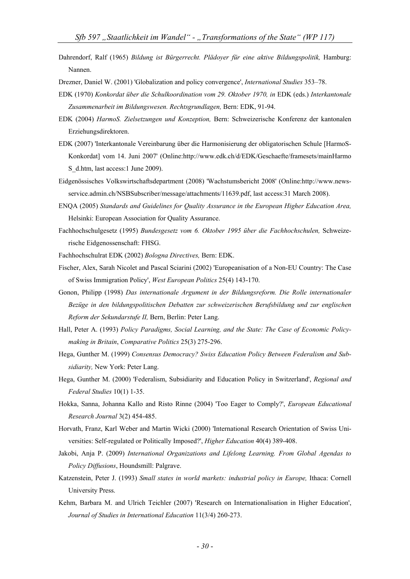- Dahrendorf, Ralf (1965) *Bildung ist Bürgerrecht. Plädoyer für eine aktive Bildungspolitik,* Hamburg: Nannen.
- Drezner, Daniel W. (2001) 'Globalization and policy convergence', *International Studies* 353–78.
- EDK (1970) *Konkordat über die Schulkoordination vom 29. Oktober 1970, in* EDK (eds.) *Interkantonale Zusammenarbeit im Bildungswesen. Rechtsgrundlagen,* Bern: EDK, 91-94.
- EDK (2004) *HarmoS. Zielsetzungen und Konzeption,* Bern: Schweizerische Konferenz der kantonalen Erziehungsdirektoren.
- EDK (2007) 'Interkantonale Vereinbarung über die Harmonisierung der obligatorischen Schule [HarmoS-Konkordat] vom 14. Juni 2007' (Online:http://www.edk.ch/d/EDK/Geschaefte/framesets/mainHarmo S\_d.htm, last access:1 June 2009).
- Eidgenössisches Volkswirtschaftsdepartment (2008) 'Wachstumsbericht 2008' (Online:http://www.newsservice.admin.ch/NSBSubscriber/message/attachments/11639.pdf, last access:31 March 2008).
- ENQA (2005) *Standards and Guidelines for Quality Assurance in the European Higher Education Area,*  Helsinki: European Association for Quality Assurance.
- Fachhochschulgesetz (1995) *Bundesgesetz vom 6. Oktober 1995 über die Fachhochschulen,* Schweizerische Eidgenossenschaft: FHSG.
- Fachhochschulrat EDK (2002) *Bologna Directives,* Bern: EDK.
- Fischer, Alex, Sarah Nicolet and Pascal Sciarini (2002) 'Europeanisation of a Non-EU Country: The Case of Swiss Immigration Policy', *West European Politics* 25(4) 143-170.
- Gonon, Philipp (1998) *Das internationale Argument in der Bildungsreform. Die Rolle internationaler Bezüge in den bildungspolitischen Debatten zur schweizerischen Berufsbildung und zur englischen Reform der Sekundarstufe II,* Bern, Berlin: Peter Lang.
- Hall, Peter A. (1993) *Policy Paradigms, Social Learning, and the State: The Case of Economic Policymaking in Britain*, *Comparative Politics* 25(3) 275-296.
- Hega, Gunther M. (1999) *Consensus Democracy? Swiss Education Policy Between Federalism and Subsidiarity,* New York: Peter Lang.
- Hega, Gunther M. (2000) 'Federalism, Subsidiarity and Education Policy in Switzerland', *Regional and Federal Studies* 10(1) 1-35.
- Hokka, Sanna, Johanna Kallo and Risto Rinne (2004) 'Too Eager to Comply?', *European Educational Research Journal* 3(2) 454-485.
- Horvath, Franz, Karl Weber and Martin Wicki (2000) 'International Research Orientation of Swiss Universities: Self-regulated or Politically Imposed?', *Higher Education* 40(4) 389-408.
- Jakobi, Anja P. (2009) *International Organizations and Lifelong Learning. From Global Agendas to Policy Diffusions*, Houndsmill: Palgrave.
- Katzenstein, Peter J. (1993) *Small states in world markets: industrial policy in Europe,* Ithaca: Cornell University Press.
- Kehm, Barbara M. and Ulrich Teichler (2007) 'Research on Internationalisation in Higher Education', *Journal of Studies in International Education* 11(3/4) 260-273.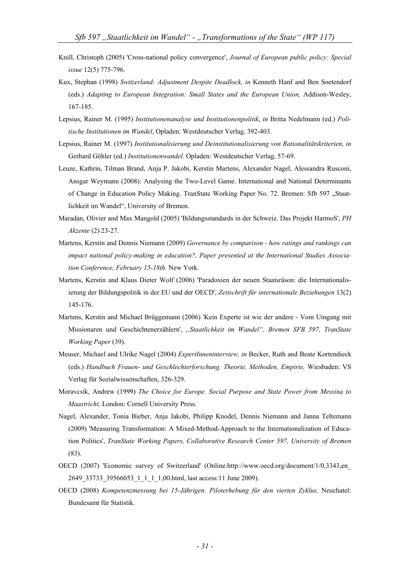- Knill, Christoph (2005) 'Cross-national policy convergence', *Journal of European public policy: Special issue* 12(5) 775-796.
- Kux, Stephan (1998) *Switzerland: Adjustment Despite Deadlock, in* Kenneth Hanf and Ben Soetendorf (eds.) *Adapting to European Integration: Small States and the European Union,* Addison-Wesley, 167-185.
- Lepsius, Rainer M. (1995) *Institutionenanalyse und Institutionenpolitik*, *in* Britta Nedelmann (ed.) *Politische Institutionen im Wandel*, Opladen: Westdeutscher Verlag, 392-403.
- Lepsius, Rainer M. (1997) *Institutionalisierung und Deinstitutionalisierung von Rationalitätskriterien, in* Gerhard Göhler (ed.) *Institutionenwandel*. Opladen: Westdeutscher Verlag, 57-69.
- Leuze, Kathrin, Tilman Brand, Anja P. Jakobi, Kerstin Martens, Alexander Nagel, Alessandra Rusconi, Ansgar Weymann (2008): Analysing the Two-Level Game. International and National Determinants of Change in Education Policy Making. TranState Working Paper No. 72. Bremen: Sfb 597 "Staatlichkeit im Wandel", University of Bremen.
- Maradan, Olivier and Max Mangold (2005) 'Bildungsstandards in der Schweiz. Das Projekt HarmoS', *PH Akzente* (2) 23-27.
- Martens, Kerstin and Dennis Niemann (2009) *Governance by comparison how ratings and rankings can impact national policy-making in education?, Paper presented at the International Studies Association Conference, February 15-18th.* New York.
- Martens, Kerstin and Klaus Dieter Wolf (2006) 'Paradoxien der neuen Staatsräson: die Internationalisierung der Bildungspolitik in der EU und der OECD', *Zeitschrift für internationale Beziehungen* 13(2) 145-176.
- Martens, Kerstin and Michael Brüggemann (2006) 'Kein Experte ist wie der andere Vom Umgang mit Missionaren und Geschichtenerzählern', *"Staatlichkeit im Wandel", Bremen SFB 597, TranState Working Paper* (39).
- Meuser, Michael and Ulrike Nagel (2004) *ExpertInneninterview, in* Becker, Ruth and Beate Kortendieck (eds.) *Handbuch Frauen- und Geschlechterforschung. Theorie, Methoden, Empirie,* Wiesbaden: VS Verlag für Sozialwissenschaften, 326-329.
- Moravcsik, Andrew (1999) *The Choice for Europe. Social Purpose and State Power from Messina to Maastricht,* London: Cornell University Press.
- Nagel, Alexander, Tonia Bieber, Anja Jakobi, Philipp Knodel, Dennis Niemann and Janna Teltemann (2009) 'Measuring Transformation: A Mixed-Method-Approach to the Internationalization of Education Politics', *TranState Working Papers, Collaborative Research Center 597, University of Bremen*  (83).
- OECD (2007) 'Economic survey of Switzerland' (Online:http://www.oecd.org/document/1/0,3343,en\_ 2649 33733 39566053 1 1 1 1,00.html, last access:11 June 2009).
- OECD (2008) *Kompetenzmessung bei 15-Jährigen. Piloterhebung für den vierten Zyklus,* Neuchatel: Bundesamt für Statistik.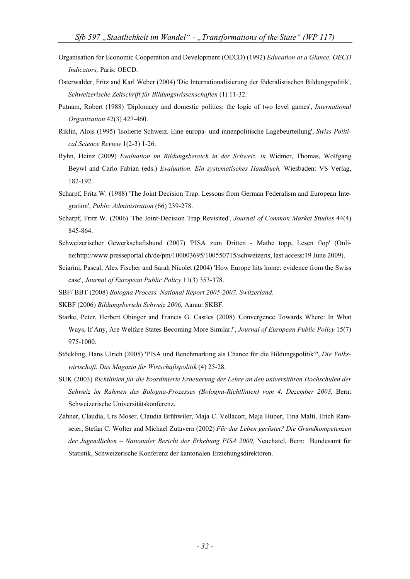- Organisation for Economic Cooperation and Development (OECD) (1992) *Education at a Glance. OECD Indicators,* Paris: OECD.
- Osterwalder, Fritz and Karl Weber (2004) 'Die Internationalisierung der föderalistischen Bildungspolitik', *Schweizerische Zeitschrift für Bildungswissenschaften* (1) 11-32.
- Putnam, Robert (1988) 'Diplomacy and domestic politics: the logic of two level games', *International Organization* 42(3) 427-460.
- Riklin, Alois (1995) 'Isolierte Schweiz. Eine europa- und innenpolitische Lagebeurteilung', *Swiss Political Science Review* 1(2-3) 1-26.
- Ryhn, Heinz (2009) *Evaluation im Bildungsbereich in der Schweiz, in* Widmer, Thomas, Wolfgang Beywl and Carlo Fabian (eds.) *Evaluation. Ein systematisches Handbuch,* Wiesbaden: VS Verlag, 182-192.
- Scharpf, Fritz W. (1988) 'The Joint Decision Trap. Lessons from German Federalism and European Integration', *Public Administration* (66) 239-278.
- Scharpf, Fritz W. (2006) 'The Joint-Decision Trap Revisited', *Journal of Common Market Studies* 44(4) 845-864.
- Schweizerischer Gewerkschaftsbund (2007) 'PISA zum Dritten Mathe topp, Lesen flop' (Online:http://www.presseportal.ch/de/pm/100003695/100550715/schweizeris, last access:19 June 2009).
- Sciarini, Pascal, Alex Fischer and Sarah Nicolet (2004) 'How Europe hits home: evidence from the Swiss case', *Journal of European Public Policy* 11(3) 353-378.
- SBF/ BBT (2008) *Bologna Process. National Report 2005-2007. Switzerland*.
- SKBF (2006) *Bildungsbericht Schweiz 2006,* Aarau: SKBF.
- Starke, Peter, Herbert Obinger and Francis G. Castles (2008) 'Convergence Towards Where: In What Ways, If Any, Are Welfare States Becoming More Similar?', *Journal of European Public Policy* 15(7) 975-1000.
- Stöckling, Hans Ulrich (2005) 'PISA und Benchmarking als Chance für die Bildungspolitik?', *Die Volkswirtschaft. Das Magazin für Wirtschaftspolitik* (4) 25-28.
- SUK (2003) *Richtlinien für die koordinierte Erneuerung der Lehre an den universitären Hochschulen der Schweiz im Rahmen des Bologna-Prozesses (Bologna-Richtlinien) vom 4. Dezember 2003,* Bern: Schweizerische Universitätskonferenz.
- Zahner, Claudia, Urs Moser, Claudia Brühwiler, Maja C. Vellacott, Maja Huber, Tina Malti, Erich Ramseier, Stefan C. Wolter and Michael Zutavern (2002) *Für das Leben gerüstet? Die Grundkompetenzen der Jugendlichen – Nationaler Bericht der Erhebung PISA 2000,* Neuchatel, Bern: Bundesamt für Statistik, Schweizerische Konferenz der kantonalen Erziehungsdirektoren.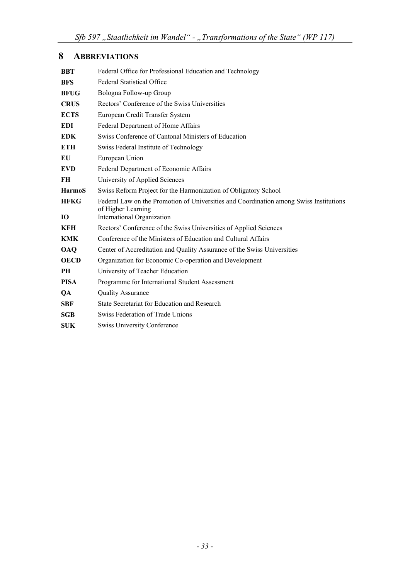# **8 ABBREVIATIONS**

| <b>BBT</b>    | Federal Office for Professional Education and Technology                                                     |
|---------------|--------------------------------------------------------------------------------------------------------------|
| <b>BFS</b>    | <b>Federal Statistical Office</b>                                                                            |
| <b>BFUG</b>   | Bologna Follow-up Group                                                                                      |
| <b>CRUS</b>   | Rectors' Conference of the Swiss Universities                                                                |
| <b>ECTS</b>   | European Credit Transfer System                                                                              |
| <b>EDI</b>    | Federal Department of Home Affairs                                                                           |
| <b>EDK</b>    | Swiss Conference of Cantonal Ministers of Education                                                          |
| <b>ETH</b>    | Swiss Federal Institute of Technology                                                                        |
| EU            | European Union                                                                                               |
| <b>EVD</b>    | Federal Department of Economic Affairs                                                                       |
| <b>FH</b>     | University of Applied Sciences                                                                               |
| <b>HarmoS</b> | Swiss Reform Project for the Harmonization of Obligatory School                                              |
| <b>HFKG</b>   | Federal Law on the Promotion of Universities and Coordination among Swiss Institutions<br>of Higher Learning |
| 10            | International Organization                                                                                   |
| <b>KFH</b>    | Rectors' Conference of the Swiss Universities of Applied Sciences                                            |
| <b>KMK</b>    | Conference of the Ministers of Education and Cultural Affairs                                                |
| <b>OAQ</b>    | Center of Accreditation and Quality Assurance of the Swiss Universities                                      |
| <b>OECD</b>   | Organization for Economic Co-operation and Development                                                       |
| PН            | University of Teacher Education                                                                              |
| <b>PISA</b>   | Programme for International Student Assessment                                                               |
| QA            | <b>Quality Assurance</b>                                                                                     |
| <b>SBF</b>    | State Secretariat for Education and Research                                                                 |
| <b>SGB</b>    | Swiss Federation of Trade Unions                                                                             |
|               |                                                                                                              |